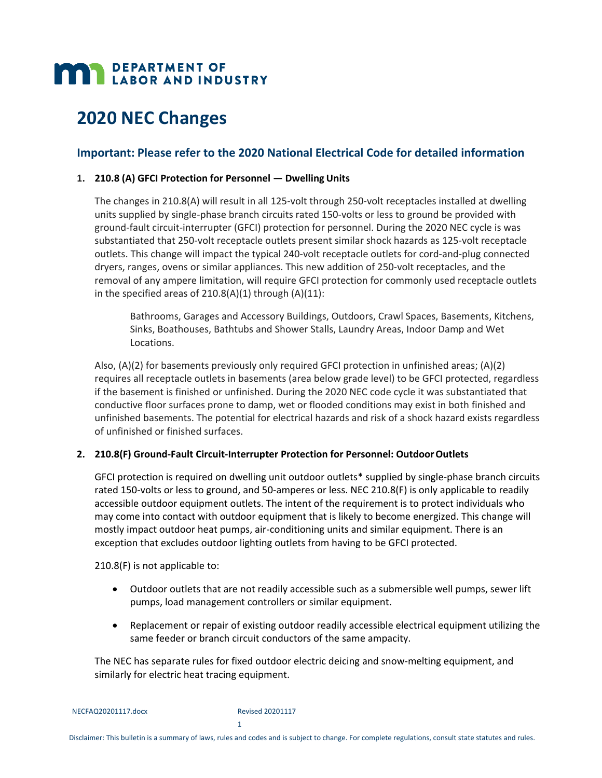# **MAN DEPARTMENT OF LABOR AND INDUSTRY**

# **2020 NEC Changes**

# **Important: Please refer to the 2020 National Electrical Code for detailed information**

#### **1. 210.8 (A) GFCI Protection for Personnel — Dwelling Units**

The changes in 210.8(A) will result in all 125‐volt through 250‐volt receptacles installed at dwelling units supplied by single‐phase branch circuits rated 150‐volts or less to ground be provided with ground-fault circuit-interrupter (GFCI) protection for personnel. During the 2020 NEC cycle is was substantiated that 250‐volt receptacle outlets present similar shock hazards as 125‐volt receptacle outlets. This change will impact the typical 240-volt receptacle outlets for cord-and-plug connected dryers, ranges, ovens or similar appliances. This new addition of 250‐volt receptacles, and the removal of any ampere limitation, will require GFCI protection for commonly used receptacle outlets in the specified areas of  $210.8(A)(1)$  through  $(A)(11)$ :

Bathrooms, Garages and Accessory Buildings, Outdoors, Crawl Spaces, Basements, Kitchens, Sinks, Boathouses, Bathtubs and Shower Stalls, Laundry Areas, Indoor Damp and Wet Locations.

Also, (A)(2) for basements previously only required GFCI protection in unfinished areas; (A)(2) requires all receptacle outlets in basements (area below grade level) to be GFCI protected, regardless if the basement is finished or unfinished. During the 2020 NEC code cycle it was substantiated that conductive floor surfaces prone to damp, wet or flooded conditions may exist in both finished and unfinished basements. The potential for electrical hazards and risk of a shock hazard exists regardless of unfinished or finished surfaces.

#### **2. 210.8(F) Ground‐Fault Circuit‐Interrupter Protection for Personnel: OutdoorOutlets**

GFCI protection is required on dwelling unit outdoor outlets\* supplied by single-phase branch circuits rated 150‐volts or less to ground, and 50‐amperes or less. NEC 210.8(F) is only applicable to readily accessible outdoor equipment outlets. The intent of the requirement is to protect individuals who may come into contact with outdoor equipment that is likely to become energized. This change will mostly impact outdoor heat pumps, air‐conditioning units and similar equipment. There is an exception that excludes outdoor lighting outlets from having to be GFCI protected.

210.8(F) is not applicable to:

- Outdoor outlets that are not readily accessible such as a submersible well pumps, sewer lift pumps, load management controllers or similar equipment.
- Replacement or repair of existing outdoor readily accessible electrical equipment utilizing the same feeder or branch circuit conductors of the same ampacity.

The NEC has separate rules for fixed outdoor electric deicing and snow‐melting equipment, and similarly for electric heat tracing equipment.

1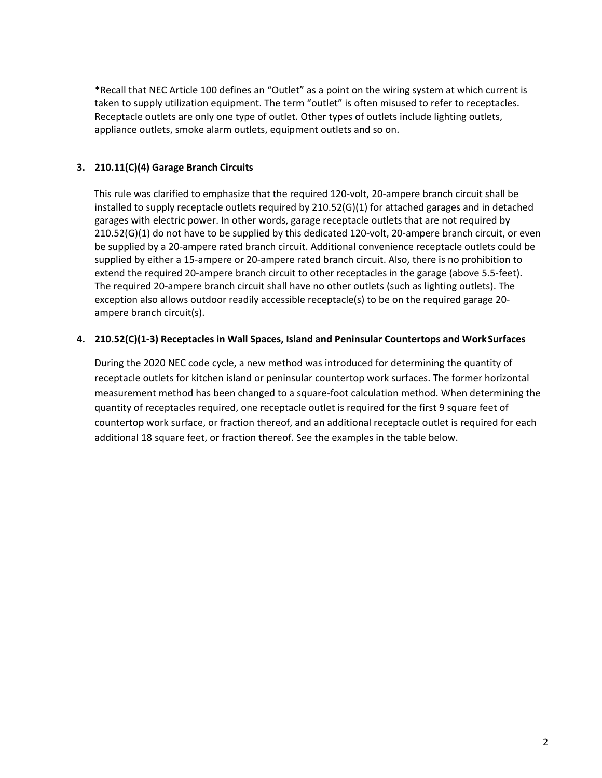\*Recall that NEC Article 100 defines an "Outlet" as a point on the wiring system at which current is taken to supply utilization equipment. The term "outlet" is often misused to refer to receptacles. Receptacle outlets are only one type of outlet. Other types of outlets include lighting outlets, appliance outlets, smoke alarm outlets, equipment outlets and so on.

# **3. 210.11(C)(4) Garage Branch Circuits**

This rule was clarified to emphasize that the required 120‐volt, 20‐ampere branch circuit shall be installed to supply receptacle outlets required by 210.52(G)(1) for attached garages and in detached garages with electric power. In other words, garage receptacle outlets that are not required by 210.52(G)(1) do not have to be supplied by this dedicated 120‐volt, 20‐ampere branch circuit, or even be supplied by a 20‐ampere rated branch circuit. Additional convenience receptacle outlets could be supplied by either a 15‐ampere or 20‐ampere rated branch circuit. Also, there is no prohibition to extend the required 20-ampere branch circuit to other receptacles in the garage (above 5.5-feet). The required 20‐ampere branch circuit shall have no other outlets (such as lighting outlets). The exception also allows outdoor readily accessible receptacle(s) to be on the required garage 20‐ ampere branch circuit(s).

## **4. 210.52(C)(1‐3) Receptacles in Wall Spaces, Island and Peninsular Countertops and WorkSurfaces**

During the 2020 NEC code cycle, a new method was introduced for determining the quantity of receptacle outlets for kitchen island or peninsular countertop work surfaces. The former horizontal measurement method has been changed to a square‐foot calculation method. When determining the quantity of receptacles required, one receptacle outlet is required for the first 9 square feet of countertop work surface, or fraction thereof, and an additional receptacle outlet is required for each additional 18 square feet, or fraction thereof. See the examples in the table below.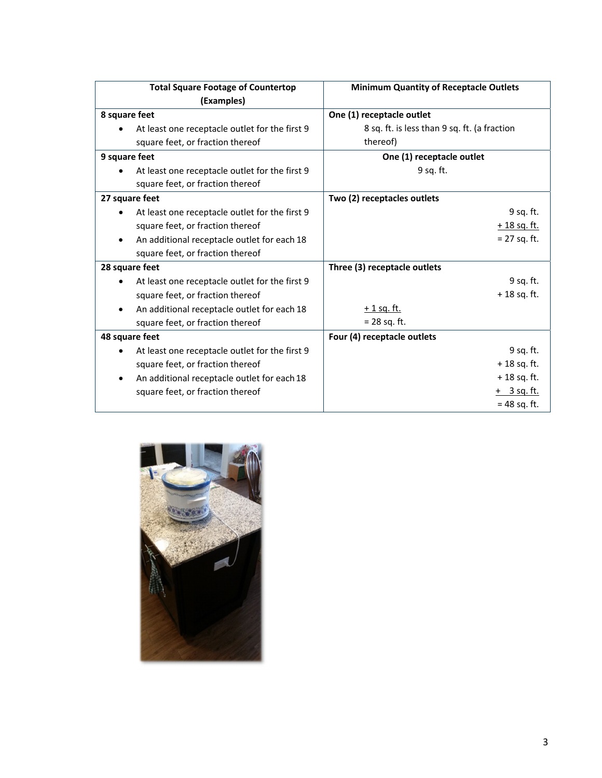| <b>Total Square Footage of Countertop</b>      | <b>Minimum Quantity of Receptacle Outlets</b> |
|------------------------------------------------|-----------------------------------------------|
| (Examples)                                     |                                               |
| 8 square feet                                  | One (1) receptacle outlet                     |
| At least one receptacle outlet for the first 9 | 8 sq. ft. is less than 9 sq. ft. (a fraction  |
| square feet, or fraction thereof               | thereof)                                      |
| 9 square feet                                  | One (1) receptacle outlet                     |
| At least one receptacle outlet for the first 9 | 9 sq. ft.                                     |
| square feet, or fraction thereof               |                                               |
| 27 square feet                                 | Two (2) receptacles outlets                   |
| At least one receptacle outlet for the first 9 | 9 sq. ft.                                     |
| square feet, or fraction thereof               | $+18$ sq. ft.                                 |
| An additional receptacle outlet for each 18    | $= 27$ sq. ft.                                |
| square feet, or fraction thereof               |                                               |
| 28 square feet                                 | Three (3) receptacle outlets                  |
| At least one receptacle outlet for the first 9 | 9 sq. ft.                                     |
| square feet, or fraction thereof               | $+18$ sq. ft.                                 |
| An additional receptacle outlet for each 18    | <u>+ 1 sq. ft.</u>                            |
| square feet, or fraction thereof               | $= 28$ sq. ft.                                |
| 48 square feet                                 | Four (4) receptacle outlets                   |
| At least one receptacle outlet for the first 9 | 9 sq. ft.                                     |
| square feet, or fraction thereof               | $+18$ sq. ft.                                 |
| An additional receptacle outlet for each 18    | $+18$ sq. ft.                                 |
| square feet, or fraction thereof               | $+$ 3 sq. ft.                                 |
|                                                | $= 48$ sq. ft.                                |

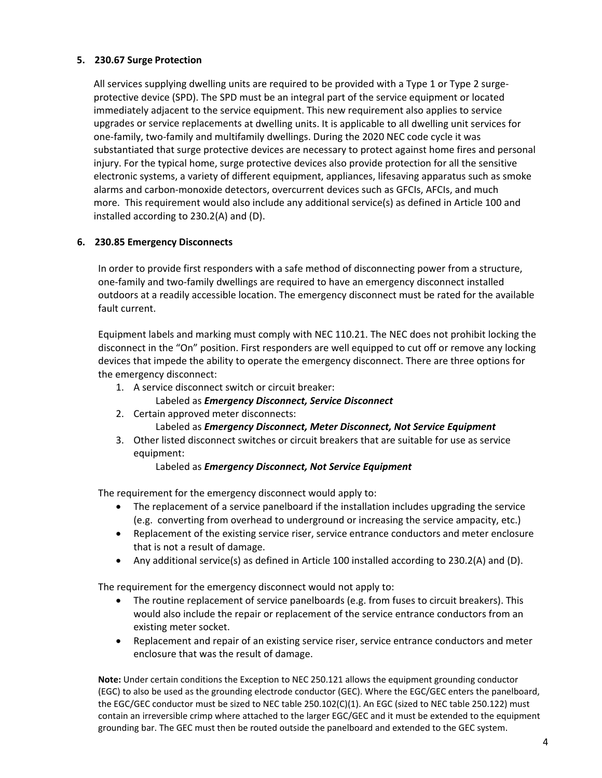#### **5. 230.67 Surge Protection**

All services supplying dwelling units are required to be provided with a Type 1 or Type 2 surgeprotective device (SPD). The SPD must be an integral part of the service equipment or located immediately adjacent to the service equipment. This new requirement also applies to service upgrades or service replacements at dwelling units. It is applicable to all dwelling unit services for one‐family, two‐family and multifamily dwellings. During the 2020 NEC code cycle it was substantiated that surge protective devices are necessary to protect against home fires and personal injury. For the typical home, surge protective devices also provide protection for all the sensitive electronic systems, a variety of different equipment, appliances, lifesaving apparatus such as smoke alarms and carbon‐monoxide detectors, overcurrent devices such as GFCIs, AFCIs, and much more. This requirement would also include any additional service(s) as defined in Article 100 and installed according to 230.2(A) and (D).

#### **6. 230.85 Emergency Disconnects**

In order to provide first responders with a safe method of disconnecting power from a structure, one‐family and two‐family dwellings are required to have an emergency disconnect installed outdoors at a readily accessible location. The emergency disconnect must be rated for the available fault current.

Equipment labels and marking must comply with NEC 110.21. The NEC does not prohibit locking the disconnect in the "On" position. First responders are well equipped to cut off or remove any locking devices that impede the ability to operate the emergency disconnect. There are three options for the emergency disconnect:

- 1. A service disconnect switch or circuit breaker:
	- Labeled as *Emergency Disconnect, Service Disconnect*
- 2. Certain approved meter disconnects:

#### Labeled as *Emergency Disconnect, Meter Disconnect, Not Service Equipment*

3. Other listed disconnect switches or circuit breakers that are suitable for use as service equipment:

#### Labeled as *Emergency Disconnect, Not Service Equipment*

The requirement for the emergency disconnect would apply to:

- The replacement of a service panelboard if the installation includes upgrading the service (e.g. converting from overhead to underground or increasing the service ampacity, etc.)
- Replacement of the existing service riser, service entrance conductors and meter enclosure that is not a result of damage.
- Any additional service(s) as defined in Article 100 installed according to 230.2(A) and (D).

The requirement for the emergency disconnect would not apply to:

- The routine replacement of service panelboards (e.g. from fuses to circuit breakers). This would also include the repair or replacement of the service entrance conductors from an existing meter socket.
- Replacement and repair of an existing service riser, service entrance conductors and meter enclosure that was the result of damage.

**Note:** Under certain conditions the Exception to NEC 250.121 allows the equipment grounding conductor (EGC) to also be used as the grounding electrode conductor (GEC). Where the EGC/GEC enters the panelboard, the EGC/GEC conductor must be sized to NEC table 250.102(C)(1). An EGC (sized to NEC table 250.122) must contain an irreversible crimp where attached to the larger EGC/GEC and it must be extended to the equipment grounding bar. The GEC must then be routed outside the panelboard and extended to the GEC system.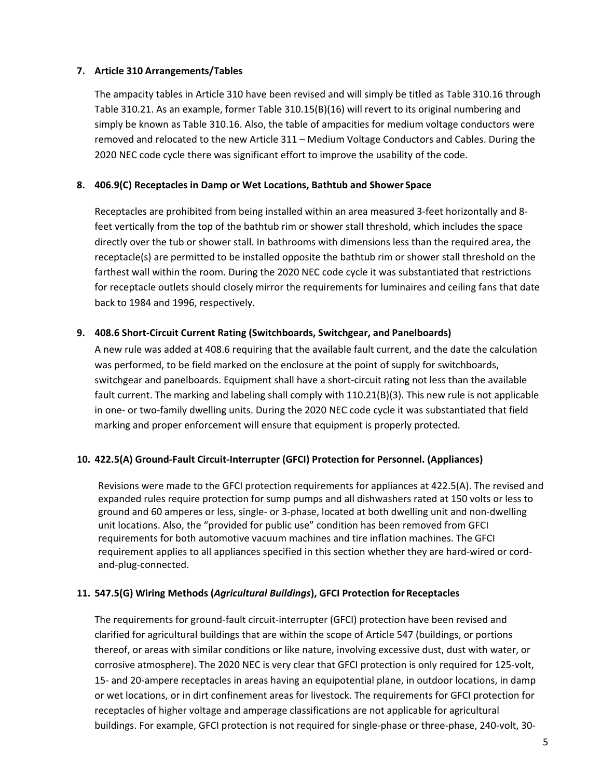#### **7. Article 310 Arrangements/Tables**

The ampacity tables in Article 310 have been revised and will simply be titled as Table 310.16 through Table 310.21. As an example, former Table 310.15(B)(16) will revert to its original numbering and simply be known as Table 310.16. Also, the table of ampacities for medium voltage conductors were removed and relocated to the new Article 311 – Medium Voltage Conductors and Cables. During the 2020 NEC code cycle there was significant effort to improve the usability of the code.

#### **8. 406.9(C) Receptacles in Damp or Wet Locations, Bathtub and Shower Space**

Receptacles are prohibited from being installed within an area measured 3‐feet horizontally and 8‐ feet vertically from the top of the bathtub rim or shower stall threshold, which includes the space directly over the tub or shower stall. In bathrooms with dimensions less than the required area, the receptacle(s) are permitted to be installed opposite the bathtub rim or shower stall threshold on the farthest wall within the room. During the 2020 NEC code cycle it was substantiated that restrictions for receptacle outlets should closely mirror the requirements for luminaires and ceiling fans that date back to 1984 and 1996, respectively.

#### **9. 408.6 Short‐Circuit Current Rating (Switchboards, Switchgear, and Panelboards)**

A new rule was added at 408.6 requiring that the available fault current, and the date the calculation was performed, to be field marked on the enclosure at the point of supply for switchboards, switchgear and panelboards. Equipment shall have a short‐circuit rating not less than the available fault current. The marking and labeling shall comply with 110.21(B)(3). This new rule is not applicable in one- or two-family dwelling units. During the 2020 NEC code cycle it was substantiated that field marking and proper enforcement will ensure that equipment is properly protected.

#### **10. 422.5(A) Ground‐Fault Circuit‐Interrupter (GFCI) Protection for Personnel. (Appliances)**

Revisions were made to the GFCI protection requirements for appliances at 422.5(A). The revised and expanded rules require protection for sump pumps and all dishwashers rated at 150 volts or less to ground and 60 amperes or less, single‐ or 3‐phase, located at both dwelling unit and non‐dwelling unit locations. Also, the "provided for public use" condition has been removed from GFCI requirements for both automotive vacuum machines and tire inflation machines. The GFCI requirement applies to all appliances specified in this section whether they are hard‐wired or cord‐ and‐plug‐connected.

#### **11. 547.5(G) Wiring Methods (***Agricultural Buildings***), GFCI Protection forReceptacles**

The requirements for ground‐fault circuit‐interrupter (GFCI) protection have been revised and clarified for agricultural buildings that are within the scope of Article 547 (buildings, or portions thereof, or areas with similar conditions or like nature, involving excessive dust, dust with water, or corrosive atmosphere). The 2020 NEC is very clear that GFCI protection is only required for 125‐volt, 15- and 20-ampere receptacles in areas having an equipotential plane, in outdoor locations, in damp or wet locations, or in dirt confinement areas for livestock. The requirements for GFCI protection for receptacles of higher voltage and amperage classifications are not applicable for agricultural buildings. For example, GFCI protection is not required for single‐phase or three‐phase, 240‐volt, 30‐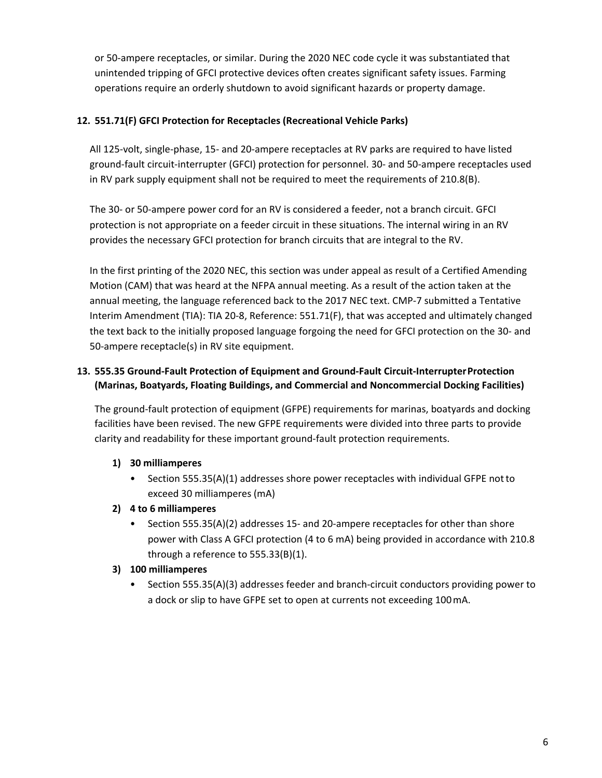or 50‐ampere receptacles, or similar. During the 2020 NEC code cycle it was substantiated that unintended tripping of GFCI protective devices often creates significant safety issues. Farming operations require an orderly shutdown to avoid significant hazards or property damage.

# **12. 551.71(F) GFCI Protection for Receptacles (Recreational Vehicle Parks)**

All 125‐volt, single‐phase, 15‐ and 20‐ampere receptacles at RV parks are required to have listed ground‐fault circuit‐interrupter (GFCI) protection for personnel. 30‐ and 50‐ampere receptacles used in RV park supply equipment shall not be required to meet the requirements of 210.8(B).

The 30‐ or 50‐ampere power cord for an RV is considered a feeder, not a branch circuit. GFCI protection is not appropriate on a feeder circuit in these situations. The internal wiring in an RV provides the necessary GFCI protection for branch circuits that are integral to the RV.

In the first printing of the 2020 NEC, this section was under appeal as result of a Certified Amending Motion (CAM) that was heard at the NFPA annual meeting. As a result of the action taken at the annual meeting, the language referenced back to the 2017 NEC text. CMP‐7 submitted a Tentative Interim Amendment (TIA): TIA 20‐8, Reference: 551.71(F), that was accepted and ultimately changed the text back to the initially proposed language forgoing the need for GFCI protection on the 30‐ and 50-ampere receptacle(s) in RV site equipment.

# **13. 555.35 Ground‐Fault Protection of Equipment and Ground‐Fault Circuit‐InterrupterProtection (Marinas, Boatyards, Floating Buildings, and Commercial and Noncommercial Docking Facilities)**

The ground‐fault protection of equipment (GFPE) requirements for marinas, boatyards and docking facilities have been revised. The new GFPE requirements were divided into three parts to provide clarity and readability for these important ground‐fault protection requirements.

# **1) 30 milliamperes**

• Section 555.35(A)(1) addresses shore power receptacles with individual GFPE not to exceed 30 milliamperes (mA)

# **2) 4 to 6 milliamperes**

• Section 555.35(A)(2) addresses 15- and 20-ampere receptacles for other than shore power with Class A GFCI protection (4 to 6 mA) being provided in accordance with 210.8 through a reference to 555.33(B)(1).

## **3) 100 milliamperes**

• Section 555.35(A)(3) addresses feeder and branch-circuit conductors providing power to a dock or slip to have GFPE set to open at currents not exceeding 100mA.